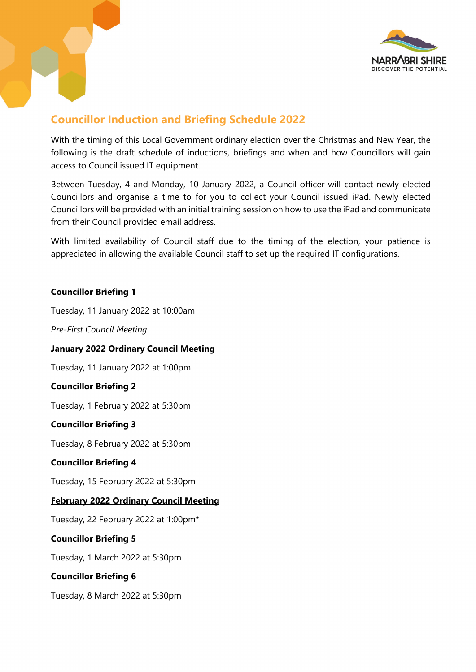

# **Councillor Induction and Briefing Schedule 2022**

With the timing of this Local Government ordinary election over the Christmas and New Year, the following is the draft schedule of inductions, briefings and when and how Councillors will gain access to Council issued IT equipment.

Between Tuesday, 4 and Monday, 10 January 2022, a Council officer will contact newly elected Councillors and organise a time to for you to collect your Council issued iPad. Newly elected Councillors will be provided with an initial training session on how to use the iPad and communicate from their Council provided email address.

With limited availability of Council staff due to the timing of the election, your patience is appreciated in allowing the available Council staff to set up the required IT configurations.

### **Councillor Briefing 1**

Tuesday, 11 January 2022 at 10:00am

*Pre-First Council Meeting*

## **January 2022 Ordinary Council Meeting**

Tuesday, 11 January 2022 at 1:00pm

#### **Councillor Briefing 2**

Tuesday, 1 February 2022 at 5:30pm

#### **Councillor Briefing 3**

Tuesday, 8 February 2022 at 5:30pm

#### **Councillor Briefing 4**

Tuesday, 15 February 2022 at 5:30pm

## **February 2022 Ordinary Council Meeting**

Tuesday, 22 February 2022 at 1:00pm\*

#### **Councillor Briefing 5**

Tuesday, 1 March 2022 at 5:30pm

## **Councillor Briefing 6**

Tuesday, 8 March 2022 at 5:30pm